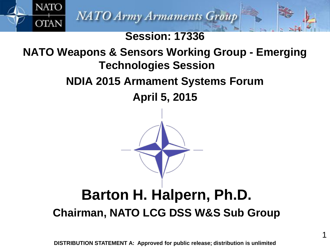

**NATO** 

**OTAN** 

### **Session: 17336**

## **NATO Weapons & Sensors Working Group - Emerging Technologies Session**

## **NDIA 2015 Armament Systems Forum**

**April 5, 2015**



## **Barton H. Halpern, Ph.D. Chairman, NATO LCG DSS W&S Sub Group**

**DISTRIBUTION STATEMENT A: Approved for public release; distribution is unlimited**

1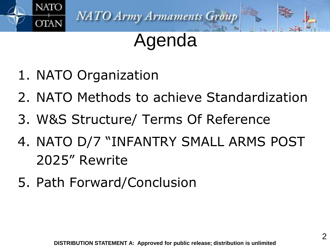

# Agenda

- 1. NATO Organization
- 2. NATO Methods to achieve Standardization
- 3. W&S Structure/ Terms Of Reference
- 4. NATO D/7 "INFANTRY SMALL ARMS POST 2025" Rewrite
- 5. Path Forward/Conclusion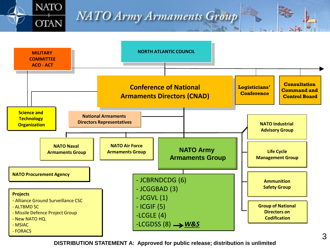

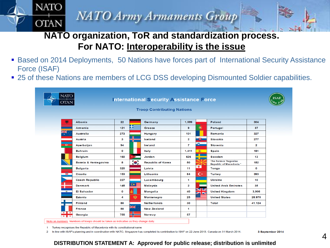#### **NATO organization, ToR and standardization process. For NATO: Interoperability is the issue**

- Based on 2014 Deployments, 50 Nations have forces part of International Security Assistance Force (ISAF)
- 25 of these Nations are members of LCG DSS developing Dismounted Soldier capabilities.

| <b>OTAN</b>                      |              |                  | <b>International Security Assistance Force</b> |                |                              |                                                                  |              |
|----------------------------------|--------------|------------------|------------------------------------------------|----------------|------------------------------|------------------------------------------------------------------|--------------|
|                                  |              |                  | <b>Troop Contributing Nations</b>              |                |                              |                                                                  |              |
|                                  |              |                  |                                                |                |                              |                                                                  |              |
| M<br><b>Albania</b>              | 22           |                  | Germany                                        | 1.599          |                              | Poland                                                           | 304          |
| <b>Armenia</b>                   | 121          | 132              | Greece                                         | 9              | ۵                            | Portugal                                                         | 37           |
| 张<br><b>Australia</b>            | 273          |                  | Hungary                                        | 101            |                              | Romania                                                          | 327          |
| <b>Austria</b>                   | 3            |                  | Iceland                                        | $\mathbf{2}$   | -63                          | <b>Slovakia</b>                                                  | 277          |
| $\bullet$<br>Azerbaijan          | 94           |                  | Ireland                                        | $\overline{7}$ | ÷.                           | <b>Slovenia</b>                                                  | $\mathbf{2}$ |
| <b>Bahrain</b>                   | $\mathbf{o}$ |                  | Italy                                          | 1,411          | 案                            | <b>Spain</b>                                                     | 181          |
| <b>Belgium</b>                   | 160          |                  | Jordan                                         | 626            |                              | Sweden                                                           | 13           |
| Bosnia & Herzegovina             | 8            | $\bullet$ .      | <b>Republic of Korea</b>                       | 50             |                              | <b>The former Yugoslav</b><br>Republic of Macedonia <sup>1</sup> | 152          |
| <b>Bulgaria</b>                  | 320          |                  | Latvia                                         | 11             | $\leftarrow$                 | Tonga                                                            | O            |
| 靈<br>Croatia                     | 153          |                  | Lithuania                                      | 84             | $\mathsf{C}^*$               | <b>Turkey</b>                                                    | 393          |
| <b>Czech Republic</b>            | 227          |                  | Luxembourg                                     | 1              |                              | <b>Ukraine</b>                                                   | 10           |
| <b>Denmark</b>                   | 145          | $\bullet \equiv$ | <b>Malaysia</b>                                | 2              |                              | <b>United Arab Emirates</b>                                      | 35           |
| $\ddot{a}$<br><b>El Salvador</b> | $\mathbf 0$  |                  | <b>Mongolia</b>                                | 40             | V<br>$\overline{\mathbf{z}}$ | <b>United Kingdom</b>                                            | 3.906        |
| Estonia                          | 4            | 魔                | Montenegro                                     | 25             |                              | <b>United States</b>                                             | 28.970       |
| <b>Finland</b>                   | 88           |                  | <b>Netherlands</b>                             | 30             |                              | Total                                                            | 41,124       |
| <b>France</b>                    | 88           | 米                | <b>New Zealand</b>                             | 1              |                              |                                                                  |              |
| $+ +$<br>Georgia<br>$+1+$        | 755          |                  | Norway                                         | 57             |                              |                                                                  |              |

Turkey recognises the Republic of Macedonia with its constitutional name

**NATO** 

**OTAN** 

2 In line with ISAF's planning and in coordination with NATO, Singapore has completed its contribution to ISAF on 22 June 2013, Canada on 31 March 2014.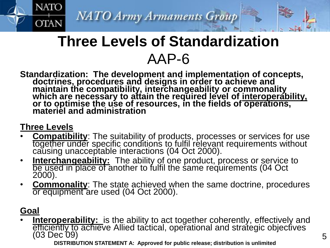## **Three Levels of Standardization** AAP-6

#### **Standardization: The development and implementation of concepts, doctrines, procedures and designs in order to achieve and maintain the compatibility, interchangeability or commonality which are necessary to attain the required level of interoperability, or to optimise the use of resources, in the fields of operations, materiel and administration**

#### **Three Levels**

**NATO** 

**OTAN** 

- **Compatibility**: The suitability of products, processes or services for use together under specific conditions to fulfil relevant requirements without causing unacceptable interactions (04 Oct 2000).
- **Interchangeability:** The ability of one product, process or service to be used in place of another to fulfil the same requirements (04 Oct 2000).
- **Commonality**: The state achieved when the same doctrine, procedures or equipment are used (04 Oct 2000).

#### **Goal**

• **Interoperability:** is the ability to act together coherently, effectively and efficiently to achieve Allied tactical, operational and strategic objectives (03 Dec 09)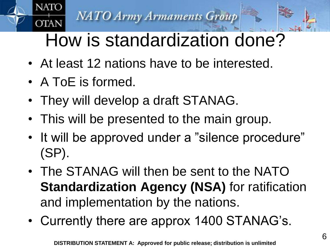# How is standardization done?

- At least 12 nations have to be interested.
- A ToE is formed.

**NATO** 

**OTAN** 

- They will develop a draft STANAG.
- This will be presented to the main group.
- It will be approved under a "silence procedure" (SP).
- The STANAG will then be sent to the NATO **Standardization Agency (NSA)** for ratification and implementation by the nations.
- Currently there are approx 1400 STANAG's.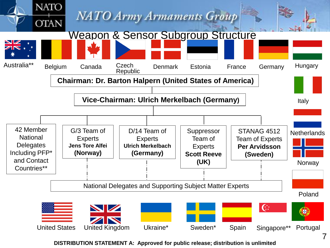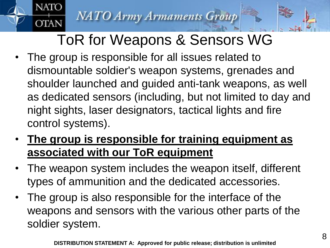**NATC** 

**OTAN** 

# ToR for Weapons & Sensors WG

- The group is responsible for all issues related to dismountable soldier's weapon systems, grenades and shoulder launched and guided anti-tank weapons, as well as dedicated sensors (including, but not limited to day and night sights, laser designators, tactical lights and fire control systems).
- **The group is responsible for training equipment as associated with our ToR equipment**
- The weapon system includes the weapon itself, different types of ammunition and the dedicated accessories.
- The group is also responsible for the interface of the weapons and sensors with the various other parts of the soldier system.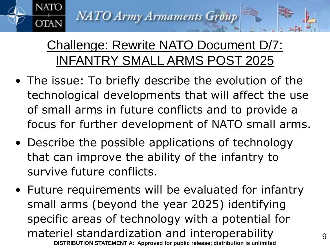NATC

**OTAN** 

## Challenge: Rewrite NATO Document D/7: INFANTRY SMALL ARMS POST 2025

- The issue: To briefly describe the evolution of the technological developments that will affect the use of small arms in future conflicts and to provide a focus for further development of NATO small arms.
- Describe the possible applications of technology that can improve the ability of the infantry to survive future conflicts.
- Future requirements will be evaluated for infantry small arms (beyond the year 2025) identifying specific areas of technology with a potential for materiel standardization and interoperability **DISTRIBUTION STATEMENT A: Approved for public release; distribution is unlimited**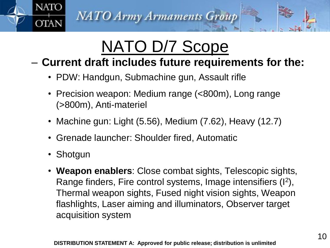# NATO D/7 Scope

## – **Current draft includes future requirements for the:**

- PDW: Handgun, Submachine gun, Assault rifle
- Precision weapon: Medium range (<800m), Long range (>800m), Anti-materiel
- Machine gun: Light (5.56), Medium (7.62), Heavy (12.7)
- Grenade launcher: Shoulder fired, Automatic
- Shotgun

**NATO** 

**OTAN** 

• **Weapon enablers**: Close combat sights, Telescopic sights, Range finders, Fire control systems, Image intensifiers (I<sup>2</sup>), Thermal weapon sights, Fused night vision sights, Weapon flashlights, Laser aiming and illuminators, Observer target acquisition system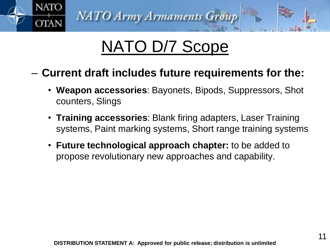

# NATO D/7 Scope

- **Current draft includes future requirements for the:**
	- **Weapon accessories**: Bayonets, Bipods, Suppressors, Shot counters, Slings
	- **Training accessories**: Blank firing adapters, Laser Training systems, Paint marking systems, Short range training systems
	- **Future technological approach chapter:** to be added to propose revolutionary new approaches and capability.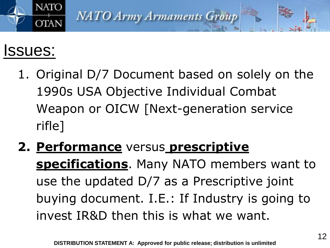

# Issues:

- 1. Original D/7 Document based on solely on the 1990s USA Objective Individual Combat Weapon or OICW [Next-generation service rifle]
- **2. Performance** versus **prescriptive specifications**. Many NATO members want to use the updated D/7 as a Prescriptive joint buying document. I.E.: If Industry is going to invest IR&D then this is what we want.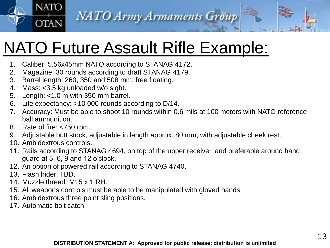# NATO Future Assault Rifle Example:

- 1. Caliber: 5.56x45mm NATO according to STANAG 4172.
- 2. Magazine: 30 rounds according to draft STANAG 4179.
- 3. Barrel length: 260, 350 and 508 mm, free floating.
- 4. Mass: <3.5 kg unloaded w/o sight.
- 5. Length: <1.0 m with 350 mm barrel.
- 6. Life expectancy: >10 000 rounds according to D/14.
- 7. Accuracy: Must be able to shoot 10 rounds within 0.6 mils at 100 meters with NATO reference ball ammunition.
- 8. Rate of fire: <750 rpm.

**NATO** 

**OTAN** 

- 9. Adjustable butt stock, adjustable in length approx. 80 mm, with adjustable cheek rest.
- 10. Ambidextrous controls.
- 11. Rails according to STANAG 4694, on top of the upper receiver, and preferable around hand guard at 3, 6, 9 and 12 o'clock.
- 12. An option of powered rail according to STANAG 4740.
- 13. Flash hider: TBD.
- 14. Muzzle thread: M15 x 1 RH.
- 15. All weapons controls must be able to be manipulated with gloved hands.
- 16. Ambidextrous three point sling positions.
- 17. Automatic bolt catch.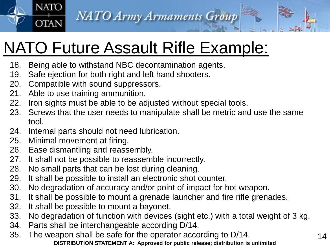

# NATO Future Assault Rifle Example:

- 18. Being able to withstand NBC decontamination agents.
- 19. Safe ejection for both right and left hand shooters.
- 20. Compatible with sound suppressors.
- 21. Able to use training ammunition.

**NATO** 

**OTAN** 

- 22. Iron sights must be able to be adjusted without special tools.
- 23. Screws that the user needs to manipulate shall be metric and use the same tool.
- 24. Internal parts should not need lubrication.
- 25. Minimal movement at firing.
- 26. Ease dismantling and reassembly.
- 27. It shall not be possible to reassemble incorrectly.
- 28. No small parts that can be lost during cleaning.
- 29. It shall be possible to install an electronic shot counter.
- 30. No degradation of accuracy and/or point of impact for hot weapon.
- 31. It shall be possible to mount a grenade launcher and fire rifle grenades.
- 32. It shall be possible to mount a bayonet.
- 33. No degradation of function with devices (sight etc.) with a total weight of 3 kg.
- 34. Parts shall be interchangeable according D/14.
- 35. The weapon shall be safe for the operator according to D/14. **DISTRIBUTION STATEMENT A: Approved for public release; distribution is unlimited**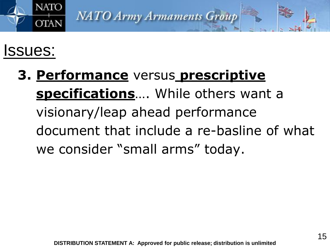

# Issues:

**3. Performance** versus **prescriptive specifications**…. While others want a visionary/leap ahead performance document that include a re-basline of what we consider "small arms" today.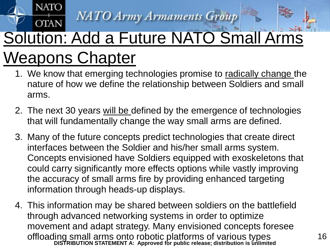**NATO** 

## **OTAN** Solution: Add a Future NATO Small Arms Weapons Chapter

- 1. We know that emerging technologies promise to radically change the nature of how we define the relationship between Soldiers and small arms.
- 2. The next 30 years will be defined by the emergence of technologies that will fundamentally change the way small arms are defined.
- 3. Many of the future concepts predict technologies that create direct interfaces between the Soldier and his/her small arms system. Concepts envisioned have Soldiers equipped with exoskeletons that could carry significantly more effects options while vastly improving the accuracy of small arms fire by providing enhanced targeting information through heads-up displays.
- 4. This information may be shared between soldiers on the battlefield through advanced networking systems in order to optimize movement and adapt strategy. Many envisioned concepts foresee offloading small arms onto robotic platforms of various types **DISTRIBUTION STATEMENT A: Approved for public release; distribution is unlimited**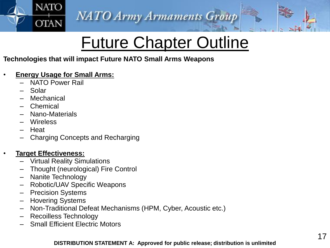# **Future Chapter Outline**

#### **Technologies that will impact Future NATO Small Arms Weapons**

#### • **Energy Usage for Small Arms:**

– NATO Power Rail

**NATO** 

**OTAN** 

- Solar
- **Mechanical**
- **Chemical**
- Nano-Materials
- Wireless
- Heat
- Charging Concepts and Recharging

#### • **Target Effectiveness:**

- Virtual Reality Simulations
- Thought (neurological) Fire Control
- Nanite Technology
- Robotic/UAV Specific Weapons
- Precision Systems
- Hovering Systems
- Non-Traditional Defeat Mechanisms (HPM, Cyber, Acoustic etc.)
- Recoilless Technology
- Small Efficient Electric Motors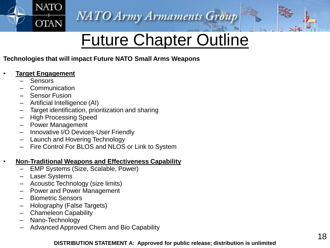

# Future Chapter Outline

#### **Technologies that will impact Future NATO Small Arms Weapons**

#### • **Target Engagement**

- **Sensors**
- Communication
- Sensor Fusion
- Artificial Intelligence (AI)
- Target identification, prioritization and sharing
- High Processing Speed
- Power Management
- Innovative I/O Devices-User Friendly
- Launch and Hovering Technology
- Fire Control For BLOS and NLOS or Link to System

#### • **Non-Traditional Weapons and Effectiveness Capability**

- EMP Systems (Size, Scalable, Power)
- **Laser Systems**
- Acoustic Technology (size limits)
- Power and Power Management
- Biometric Sensors
- Holography (False Targets)
- Chameleon Capability
- Nano-Technology
- Advanced Approved Chem and Bio Capability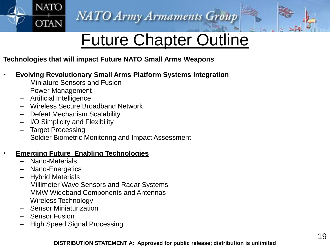

# Future Chapter Outline

#### **Technologies that will impact Future NATO Small Arms Weapons**

- **Evolving Revolutionary Small Arms Platform Systems Integration**
	- Miniature Sensors and Fusion
	- Power Management

**NATO** 

**OTAN** 

- Artificial Intelligence
- Wireless Secure Broadband Network
- Defeat Mechanism Scalability
- I/O Simplicity and Flexibility
- Target Processing
- Soldier Biometric Monitoring and Impact Assessment

#### • **Emerging Future Enabling Technologies**

- Nano-Materials
- Nano-Energetics
- Hybrid Materials
- Millimeter Wave Sensors and Radar Systems
- MMW Wideband Components and Antennas
- Wireless Technology
- Sensor Miniaturization
- **Sensor Fusion**
- High Speed Signal Processing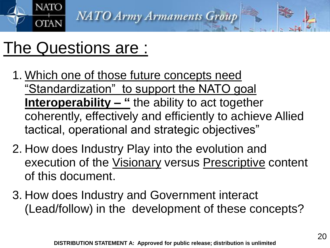

# The Questions are :

- 1. Which one of those future concepts need "Standardization" to support the NATO goal **Interoperability – "** the ability to act together coherently, effectively and efficiently to achieve Allied tactical, operational and strategic objectives"
- 2. How does Industry Play into the evolution and execution of the Visionary versus Prescriptive content of this document.
- 3. How does Industry and Government interact (Lead/follow) in the development of these concepts?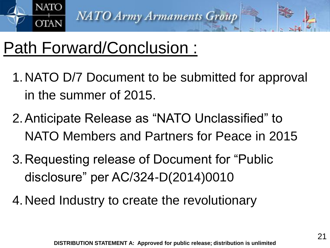

# Path Forward/Conclusion :

- 1.NATO D/7 Document to be submitted for approval in the summer of 2015.
- 2.Anticipate Release as "NATO Unclassified" to NATO Members and Partners for Peace in 2015
- 3.Requesting release of Document for "Public disclosure" per AC/324-D(2014)0010
- 4.Need Industry to create the revolutionary